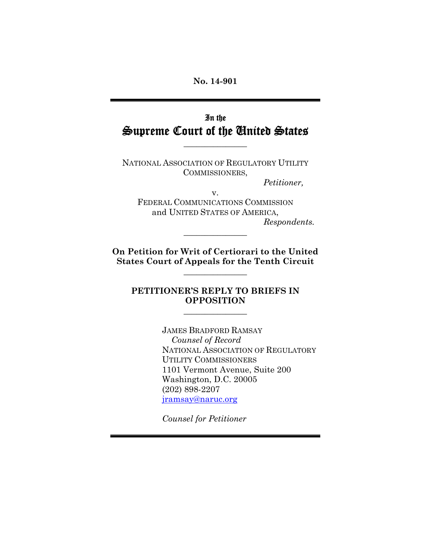### **No. 14-901**

## In the Supreme Court of the United States

 $\frac{1}{2}$ 

NATIONAL ASSOCIATION OF REGULATORY UTILITY COMMISSIONERS,

*Petitioner,* 

v. FEDERAL COMMUNICATIONS COMMISSION and UNITED STATES OF AMERICA, *Respondents.* 

**On Petition for Writ of Certiorari to the United States Court of Appeals for the Tenth Circuit** 

 $\frac{1}{2}$ 

 $\frac{1}{2}$ 

### **PETITIONER'S REPLY TO BRIEFS IN OPPOSITION**

 $\frac{1}{2}$ 

JAMES BRADFORD RAMSAY *Counsel of Record* NATIONAL ASSOCIATION OF REGULATORY UTILITY COMMISSIONERS 1101 Vermont Avenue, Suite 200 Washington, D.C. 20005 (202) 898-2207 jramsay@naruc.org

*Counsel for Petitioner*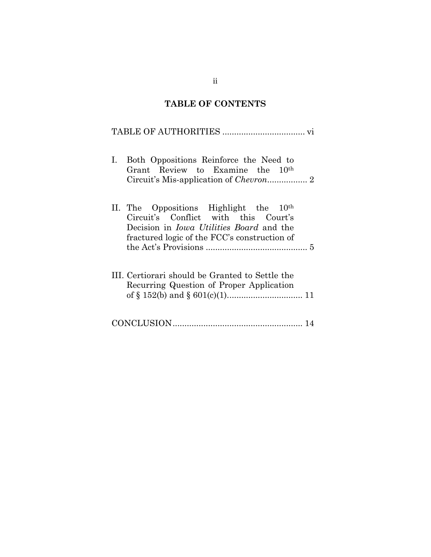# **TABLE OF CONTENTS**

### TABLE OF AUTHORITIES ................................... vi

| Both Oppositions Reinforce the Need to<br>$\mathbf{I}$ .<br>Grant Review to Examine the 10 <sup>th</sup>                                                                            |
|-------------------------------------------------------------------------------------------------------------------------------------------------------------------------------------|
| II. The Oppositions Highlight the $10th$<br>Circuit's Conflict with this Court's<br>Decision in <i>Iowa Utilities Board</i> and the<br>fractured logic of the FCC's construction of |
| III. Certiorari should be Granted to Settle the<br>Recurring Question of Proper Application                                                                                         |
|                                                                                                                                                                                     |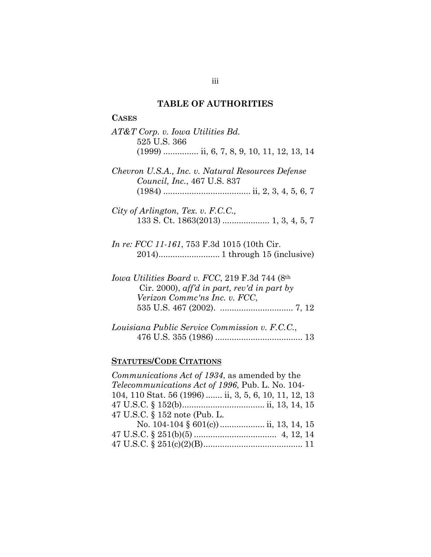#### **TABLE OF AUTHORITIES**

# **CASES**  *AT&T Corp. v. Iowa Utilities Bd.*  525 U.S. 366 (1999) ............... ii, 6, 7, 8, 9, 10, 11, 12, 13, 14 *Chevron U.S.A., Inc. v. Natural Resources Defense Council, Inc.*, 467 U.S. 837 (1984) ..................................... ii, 2, 3, 4, 5, 6, 7 *City of Arlington, Tex. v. F.C.C.,*  133 S. Ct. 1863(2013) .................... 1, 3, 4, 5, 7 *In re: FCC 11-161*, 753 F.3d 1015 (10th Cir. 2014).......................... 1 through 15 (inclusive) *Iowa Utilities Board v. FCC*, 219 F.3d 744 (8th Cir. 2000), *aff'd in part, rev'd in part by Verizon Commc'ns Inc. v. FCC*, 535 U.S. 467 (2002). ............................... 7, 12 *Louisiana Public Service Commission v. F.C.C.*, 476 U.S. 355 (1986) ..................................... 13

### **STATUTES/CODE CITATIONS**

| Communications Act of 1934, as amended by the            |
|----------------------------------------------------------|
| <i>Telecommunications Act of 1996</i> , Pub. L. No. 104- |
| 104, 110 Stat. 56 (1996)  ii, 3, 5, 6, 10, 11, 12, 13    |
|                                                          |
| 47 U.S.C. § 152 note (Pub. L.                            |
| No. 104-104 § $601(c)$ ii, 13, 14, 15                    |
|                                                          |
|                                                          |
|                                                          |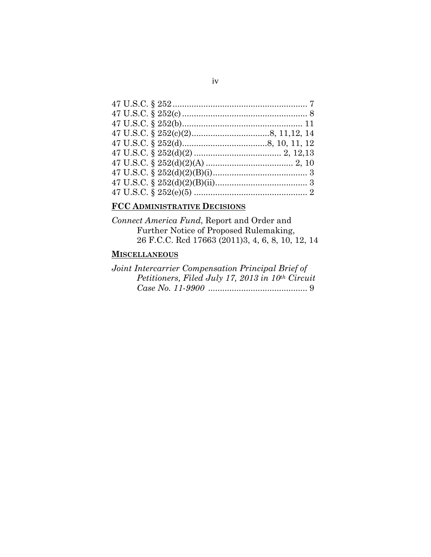### **FCC ADMINISTRATIVE DECISIONS**

*Connect America Fund*, Report and Order and Further Notice of Proposed Rulemaking, 26 F.C.C. Rcd 17663 (2011)3, 4, 6, 8, 10, 12, 14

### **MISCELLANEOUS**

| Joint Intercarrier Compensation Principal Brief of |  |
|----------------------------------------------------|--|
| Petitioners, Filed July 17, 2013 in $10th$ Circuit |  |
|                                                    |  |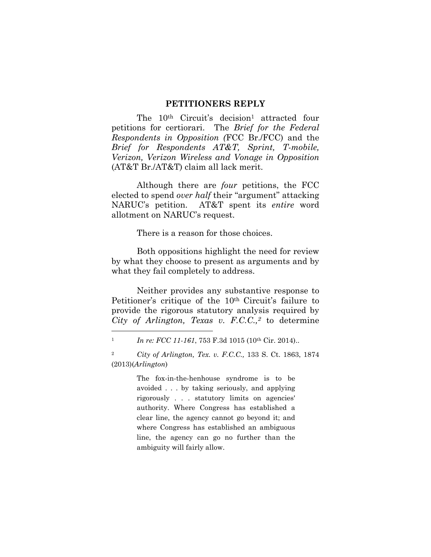#### **PETITIONERS REPLY**

The 10<sup>th</sup> Circuit's decision<sup>1</sup> attracted four petitions for certiorari. The *Brief for the Federal Respondents in Opposition (*FCC Br./FCC) and the *Brief for Respondents AT&T, Sprint, T-mobile, Verizon, Verizon Wireless and Vonage in Opposition* (AT&T Br./AT&T) claim all lack merit.

 Although there are *four* petitions, the FCC elected to spend *over half* their "argument" attacking NARUC's petition. AT&T spent its *entire* word allotment on NARUC's request.

There is a reason for those choices.

 Both oppositions highlight the need for review by what they choose to present as arguments and by what they fail completely to address.

 Neither provides any substantive response to Petitioner's critique of the 10<sup>th</sup> Circuit's failure to provide the rigorous statutory analysis required by *City of Arlington, Texas v. F.C.C.,2* to determine

 $\overline{a}$ 

The fox-in-the-henhouse syndrome is to be avoided . . . by taking seriously, and applying rigorously . . . statutory limits on agencies' authority. Where Congress has established a clear line, the agency cannot go beyond it; and where Congress has established an ambiguous line, the agency can go no further than the ambiguity will fairly allow.

<sup>&</sup>lt;sup>1</sup> *In re: FCC 11-161*, 753 F.3d 1015 (10<sup>th</sup> Cir. 2014)..

<sup>2</sup> *City of Arlington, Tex. v. F.C.C.,* 133 S. Ct. 1863, 1874 (2013)(*Arlington*)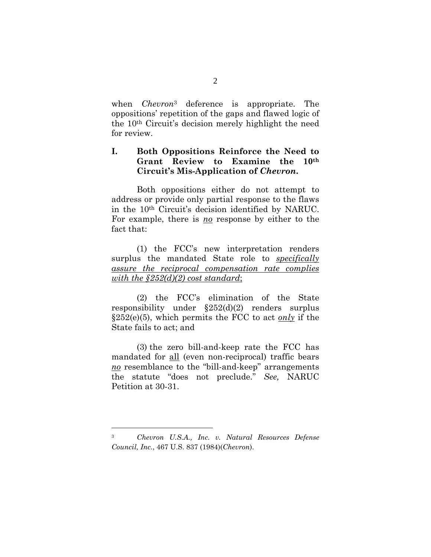when *Chevron*3 deference is appropriate. The oppositions' repetition of the gaps and flawed logic of the 10th Circuit's decision merely highlight the need for review.

### **I. Both Oppositions Reinforce the Need to Grant Review to Examine the 10th Circuit's Mis-Application of** *Chevron***.**

 Both oppositions either do not attempt to address or provide only partial response to the flaws in the 10th Circuit's decision identified by NARUC. For example, there is *no* response by either to the fact that:

 (1) the FCC's new interpretation renders surplus the mandated State role to *specifically assure the reciprocal compensation rate complies with the §252(d)(2) cost standard*;

 (2) the FCC's elimination of the State responsibility under §252(d)(2) renders surplus §252(e)(5), which permits the FCC to act *only* if the State fails to act; and

 (3) the zero bill-and-keep rate the FCC has mandated for all (even non-reciprocal) traffic bears *no* resemblance to the "bill-and-keep" arrangements the statute "does not preclude." *See,* NARUC Petition at 30-31.

<sup>3</sup>*Chevron U.S.A., Inc. v. Natural Resources Defense Council, Inc.*, 467 U.S. 837 (1984)(*Chevron*).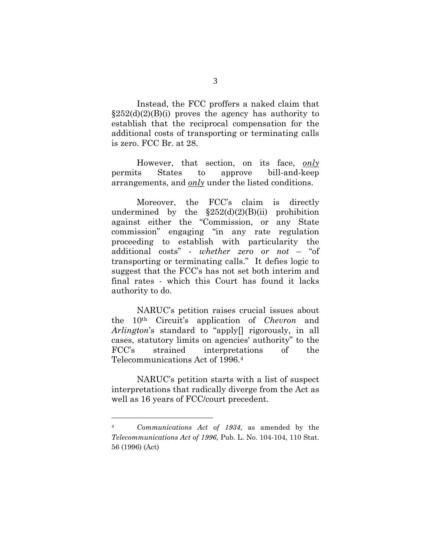Instead, the FCC proffers a naked claim that  $\S 252(d)(2)(B)(i)$  proves the agency has authority to establish that the reciprocal compensation for the additional costs of transporting or terminating calls is zero. FCC Br. at 28.

 However, that section, on its face, *only* permits States to approve bill-and-keep arrangements, and *only* under the listed conditions.

 Moreover, the FCC's claim is directly undermined by the  $$252(d)(2)(B)(ii)$  prohibition against either the "Commission, or any State commission" engaging "in any rate regulation proceeding to establish with particularity the additional costs" - *whether zero or not* – "of transporting or terminating calls." It defies logic to suggest that the FCC's has not set both interim and final rates - which this Court has found it lacks authority to do.

 NARUC's petition raises crucial issues about the 10th Circuit's application of *Chevron* and *Arlington*'s standard to "apply[] rigorously, in all cases, statutory limits on agencies' authority" to the FCC's strained interpretations of the Telecommunications Act of 1996.4

 NARUC's petition starts with a list of suspect interpretations that radically diverge from the Act as well as 16 years of FCC/court precedent.

<sup>4</sup> *Communications Act of 1934*, as amended by the *Telecommunications Act of 1996*, Pub. L. No. 104-104, 110 Stat. 56 (1996) (Act)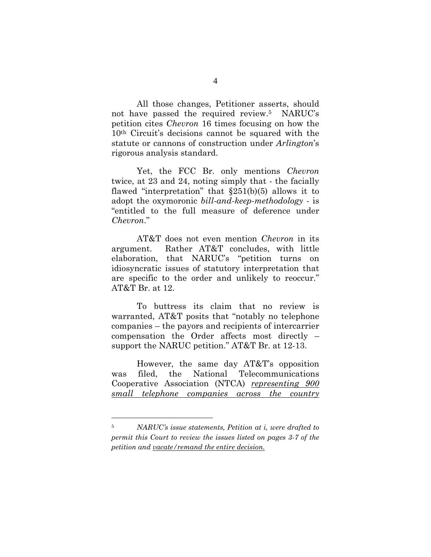All those changes, Petitioner asserts, should not have passed the required review.5 NARUC's petition cites *Chevron* 16 times focusing on how the 10th Circuit's decisions cannot be squared with the statute or cannons of construction under *Arlington*'s rigorous analysis standard.

 Yet, the FCC Br. only mentions *Chevron* twice, at 23 and 24, noting simply that - the facially flawed "interpretation" that  $\S251(b)(5)$  allows it to adopt the oxymoronic *bill-and-keep-methodology* - is "entitled to the full measure of deference under *Chevron*."

 AT&T does not even mention *Chevron* in its argument. Rather AT&T concludes, with little elaboration, that NARUC's "petition turns on idiosyncratic issues of statutory interpretation that are specific to the order and unlikely to reoccur." AT&T Br. at 12.

 To buttress its claim that no review is warranted, AT&T posits that "notably no telephone companies – the payors and recipients of intercarrier compensation the Order affects most directly – support the NARUC petition." AT&T Br. at 12-13.

 However, the same day AT&T's opposition was filed, the National Telecommunications Cooperative Association (NTCA) *representing 900 small telephone companies across the country*

<sup>5</sup> *NARUC's issue statements, Petition at i, were drafted to permit this Court to review the issues listed on pages 3-7 of the petition and vacate/remand the entire decision.*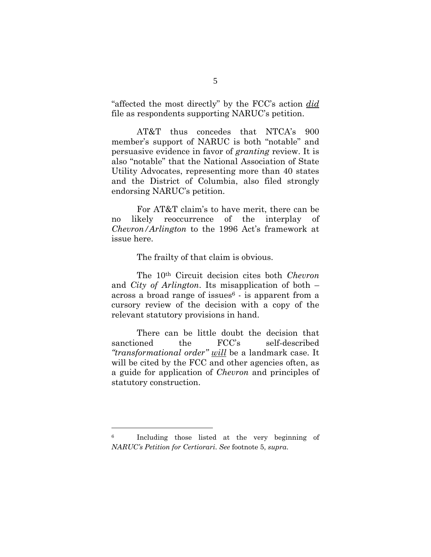"affected the most directly" by the FCC's action *did* file as respondents supporting NARUC's petition.

AT&T thus concedes that NTCA's 900 member's support of NARUC is both "notable" and persuasive evidence in favor of *granting* review. It is also "notable" that the National Association of State Utility Advocates, representing more than 40 states and the District of Columbia, also filed strongly endorsing NARUC's petition.

 For AT&T claim's to have merit, there can be no likely reoccurrence of the interplay of *Chevron/Arlington* to the 1996 Act's framework at issue here.

The frailty of that claim is obvious.

 The 10th Circuit decision cites both *Chevron* and *City of Arlington*. Its misapplication of both – across a broad range of issues $6$  - is apparent from a cursory review of the decision with a copy of the relevant statutory provisions in hand.

 There can be little doubt the decision that sanctioned the FCC's self-described *"transformational order" will* be a landmark case. It will be cited by the FCC and other agencies often, as a guide for application of *Chevron* and principles of statutory construction.

<sup>6</sup> Including those listed at the very beginning of *NARUC's Petition for Certiorari*. *See* footnote 5, *supra*.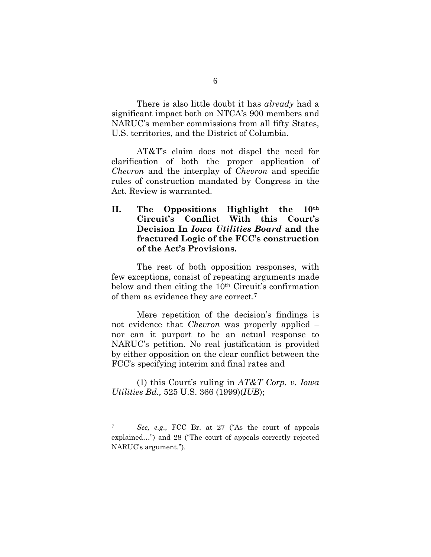There is also little doubt it has *already* had a significant impact both on NTCA's 900 members and NARUC's member commissions from all fifty States, U.S. territories, and the District of Columbia.

 AT&T's claim does not dispel the need for clarification of both the proper application of *Chevron* and the interplay of *Chevron* and specific rules of construction mandated by Congress in the Act. Review is warranted.

**II. The Oppositions Highlight the 10th Circuit's Conflict With this Court's Decision In** *Iowa Utilities Board* **and the fractured Logic of the FCC's construction of the Act's Provisions.** 

 The rest of both opposition responses, with few exceptions, consist of repeating arguments made below and then citing the 10th Circuit's confirmation of them as evidence they are correct.7

 Mere repetition of the decision's findings is not evidence that *Chevron* was properly applied – nor can it purport to be an actual response to NARUC's petition. No real justification is provided by either opposition on the clear conflict between the FCC's specifying interim and final rates and

(1) this Court's ruling in *AT&T Corp. v. Iowa Utilities Bd.,* 525 U.S. 366 (1999)(*IUB*);

<sup>7</sup> *See, e.g*., FCC Br. at 27 ("As the court of appeals explained…") and 28 ("The court of appeals correctly rejected NARUC's argument.").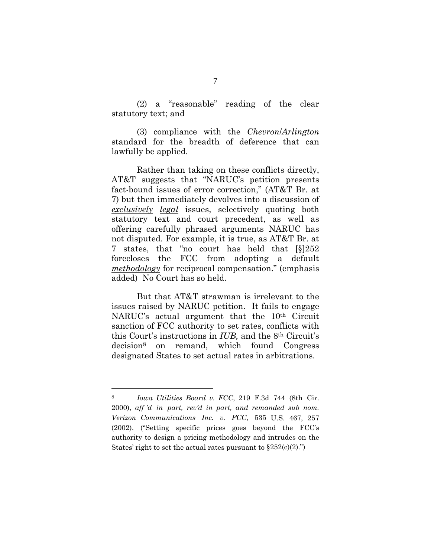(2) a "reasonable" reading of the clear statutory text; and

(3) compliance with the *Chevron*/*Arlington*  standard for the breadth of deference that can lawfully be applied.

 Rather than taking on these conflicts directly, AT&T suggests that "NARUC's petition presents fact-bound issues of error correction," (AT&T Br. at 7) but then immediately devolves into a discussion of *exclusively legal* issues, selectively quoting both statutory text and court precedent, as well as offering carefully phrased arguments NARUC has not disputed. For example, it is true, as AT&T Br. at 7 states, that "no court has held that [§]252 forecloses the FCC from adopting a default *methodology* for reciprocal compensation." (emphasis added) No Court has so held.

 But that AT&T strawman is irrelevant to the issues raised by NARUC petition. It fails to engage NARUC's actual argument that the 10<sup>th</sup> Circuit sanction of FCC authority to set rates, conflicts with this Court's instructions in *IUB,* and the 8th Circuit's decision8 on remand, which found Congress designated States to set actual rates in arbitrations.

<sup>8</sup> *Iowa Utilities Board v. FCC*, 219 F.3d 744 (8th Cir. 2000), *aff 'd in part, rev'd in part, and remanded sub nom. Verizon Communications Inc. v. FCC*, 535 U.S. 467, 257 (2002). ("Setting specific prices goes beyond the FCC's authority to design a pricing methodology and intrudes on the States' right to set the actual rates pursuant to  $\S 252(c)(2)$ .")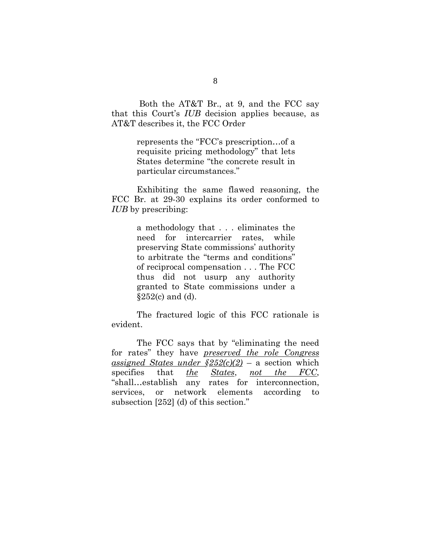Both the AT&T Br., at 9, and the FCC say that this Court's *IUB* decision applies because, as AT&T describes it, the FCC Order

> represents the "FCC's prescription…of a requisite pricing methodology" that lets States determine "the concrete result in particular circumstances."

 Exhibiting the same flawed reasoning, the FCC Br. at 29-30 explains its order conformed to *IUB* by prescribing:

> a methodology that . . . eliminates the need for intercarrier rates, while preserving State commissions' authority to arbitrate the "terms and conditions" of reciprocal compensation . . . The FCC thus did not usurp any authority granted to State commissions under a  $§252(c)$  and (d).

 The fractured logic of this FCC rationale is evident.

 The FCC says that by "eliminating the need for rates" they have *preserved the role Congress <u>assigned</u> States under*  $\frac{\$252(c)}{2}$  *– a section which* specifies that *the States*, *not the FCC*, "shall…establish any rates for interconnection, services, or network elements according to subsection [252] (d) of this section."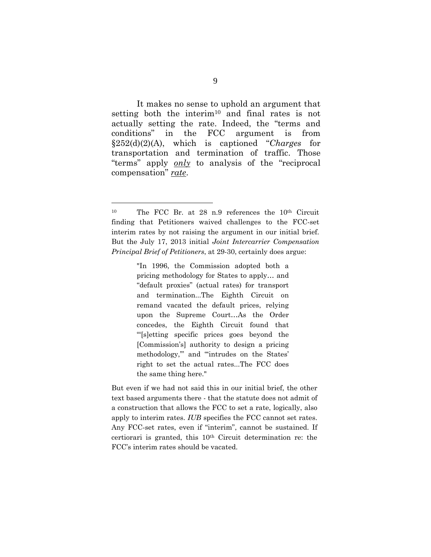It makes no sense to uphold an argument that setting both the interim10 and final rates is not actually setting the rate. Indeed, the "terms and conditions" in the FCC argument is from §252(d)(2)(A), which is captioned "*Charges* for transportation and termination of traffic. Those "terms" apply *only* to analysis of the "reciprocal compensation" *rate*.

 $\overline{a}$ 

"In 1996, the Commission adopted both a pricing methodology for States to apply… and "default proxies" (actual rates) for transport and termination...The Eighth Circuit on remand vacated the default prices, relying upon the Supreme Court…As the Order concedes, the Eighth Circuit found that "'[s]etting specific prices goes beyond the [Commission's] authority to design a pricing methodology,'" and "'intrudes on the States' right to set the actual rates...The FCC does the same thing here."

But even if we had not said this in our initial brief, the other text based arguments there - that the statute does not admit of a construction that allows the FCC to set a rate, logically, also apply to interim rates. *IUB* specifies the FCC cannot set rates. Any FCC-set rates, even if "interim", cannot be sustained. If certiorari is granted, this 10th Circuit determination re: the FCC's interim rates should be vacated.

<sup>10</sup> The FCC Br. at 28 n.9 references the 10th Circuit finding that Petitioners waived challenges to the FCC-set interim rates by not raising the argument in our initial brief. But the July 17, 2013 initial *Joint Intercarrier Compensation Principal Brief of Petitioners*, at 29-30, certainly does argue: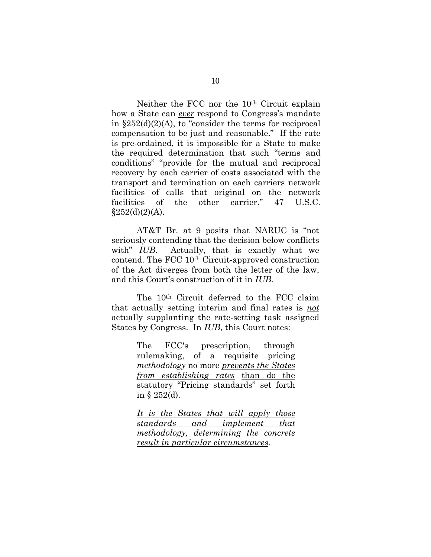Neither the FCC nor the 10th Circuit explain how a State can *ever* respond to Congress's mandate in  $\S252(d)(2)(A)$ , to "consider the terms for reciprocal compensation to be just and reasonable." If the rate is pre-ordained, it is impossible for a State to make the required determination that such "terms and conditions" "provide for the mutual and reciprocal recovery by each carrier of costs associated with the transport and termination on each carriers network facilities of calls that original on the network facilities of the other carrier." 47 U.S.C.  $§252(d)(2)(A).$ 

 AT&T Br. at 9 posits that NARUC is "not seriously contending that the decision below conflicts with" *IUB*. Actually, that is exactly what we contend. The FCC 10th Circuit-approved construction of the Act diverges from both the letter of the law, and this Court's construction of it in *IUB*.

 The 10th Circuit deferred to the FCC claim that actually setting interim and final rates is *not* actually supplanting the rate-setting task assigned States by Congress. In *IUB*, this Court notes:

> The FCC's prescription, through rulemaking, of a requisite pricing *methodology* no more *prevents the States from establishing rates* than do the statutory "Pricing standards" set forth in § 252(d).

> *It is the States that will apply those standards and implement that methodology, determining the concrete result in particular circumstances*.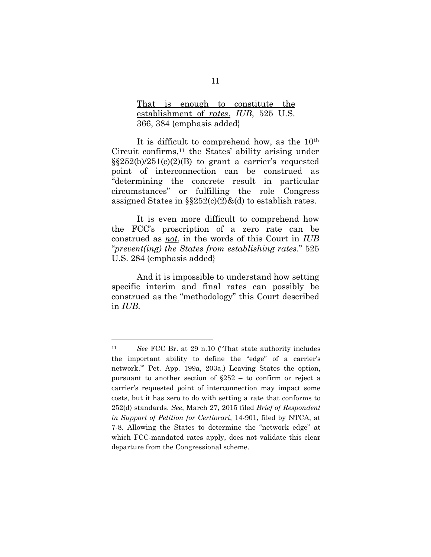That is enough to constitute the establishment of *rates*. *IUB*, 525 U.S. 366, 384 {emphasis added}

 It is difficult to comprehend how, as the 10th Circuit confirms,11 the States' ability arising under  $\S$ \$252(b)/251(c)(2)(B) to grant a carrier's requested point of interconnection can be construed as "determining the concrete result in particular circumstances" or fulfilling the role Congress assigned States in  $\S252(c)(2)\&$  d) to establish rates.

 It is even more difficult to comprehend how the FCC's proscription of a zero rate can be construed as *not*, in the words of this Court in *IUB* "*prevent(ing) the States from establishing rates*." 525 U.S. 284 {emphasis added}

 And it is impossible to understand how setting specific interim and final rates can possibly be construed as the "methodology" this Court described in *IUB*.

<sup>11</sup> *See* FCC Br. at 29 n.10 ("That state authority includes the important ability to define the "edge" of a carrier's network.'" Pet. App. 199a, 203a.) Leaving States the option, pursuant to another section of §252 – to confirm or reject a carrier's requested point of interconnection may impact some costs, but it has zero to do with setting a rate that conforms to 252(d) standards. *See*, March 27, 2015 filed *Brief of Respondent in Support of Petition for Certiorari*, 14-901, filed by NTCA, at 7-8. Allowing the States to determine the "network edge" at which FCC-mandated rates apply, does not validate this clear departure from the Congressional scheme.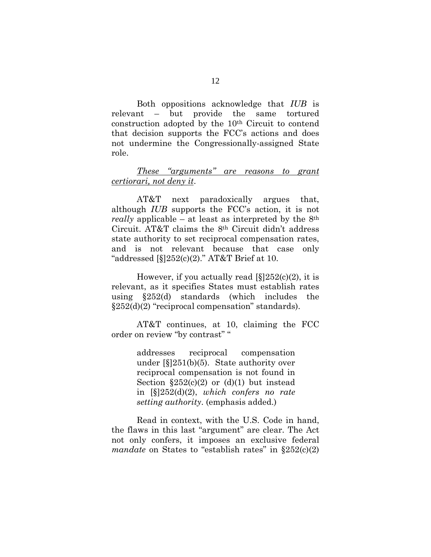Both oppositions acknowledge that *IUB* is relevant – but provide the same tortured construction adopted by the 10th Circuit to contend that decision supports the FCC's actions and does not undermine the Congressionally-assigned State role.

### *These "arguments" are reasons to grant certiorari, not deny it*.

 AT&T next paradoxically argues that, although *IUB* supports the FCC's action, it is not *really* applicable – at least as interpreted by the 8th Circuit. AT&T claims the 8th Circuit didn't address state authority to set reciprocal compensation rates, and is not relevant because that case only "addressed  $\S$ [252(c)(2)." AT&T Brief at 10.

However, if you actually read  $[\S]252(c)(2)$ , it is relevant, as it specifies States must establish rates using §252(d) standards (which includes the §252(d)(2) "reciprocal compensation" standards).

 AT&T continues, at 10, claiming the FCC order on review "by contrast" "

> addresses reciprocal compensation under [§]251(b)(5). State authority over reciprocal compensation is not found in Section  $$252(c)(2)$  or (d)(1) but instead in [§]252(d)(2), *which confers no rate setting authority*. (emphasis added.)

 Read in context, with the U.S. Code in hand, the flaws in this last "argument" are clear. The Act not only confers, it imposes an exclusive federal *mandate* on States to "establish rates" in §252(c)(2)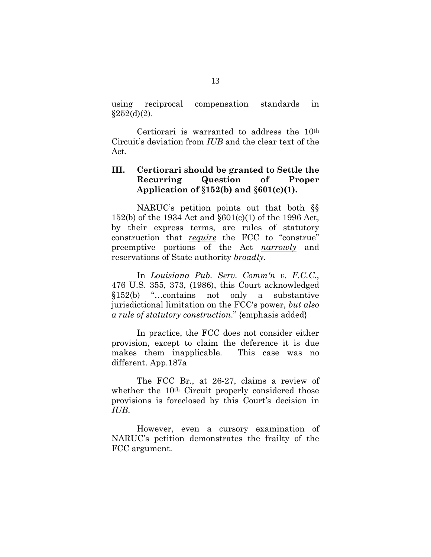using reciprocal compensation standards in  $$252(d)(2)$ .

 Certiorari is warranted to address the 10th Circuit's deviation from *IUB* and the clear text of the Act.

### **III. Certiorari should be granted to Settle the Recurring Question of Proper Application of** §**152(b) and** §**601(c)(1).**

 NARUC's petition points out that both §§ 152(b) of the 1934 Act and §601(c)(1) of the 1996 Act, by their express terms, are rules of statutory construction that *require* the FCC to "construe" preemptive portions of the Act *narrowly* and reservations of State authority *broadly*.

 In *Louisiana Pub. Serv. Comm'n v. F.C.C.*, 476 U.S. 355, 373, (1986), this Court acknowledged §152(b) "…contains not only a substantive jurisdictional limitation on the FCC's power, *but also a rule of statutory construction*." {emphasis added}

 In practice, the FCC does not consider either provision, except to claim the deference it is due makes them inapplicable. This case was no different. App.187a

 The FCC Br., at 26-27, claims a review of whether the 10<sup>th</sup> Circuit properly considered those provisions is foreclosed by this Court's decision in *IUB*.

 However, even a cursory examination of NARUC's petition demonstrates the frailty of the FCC argument.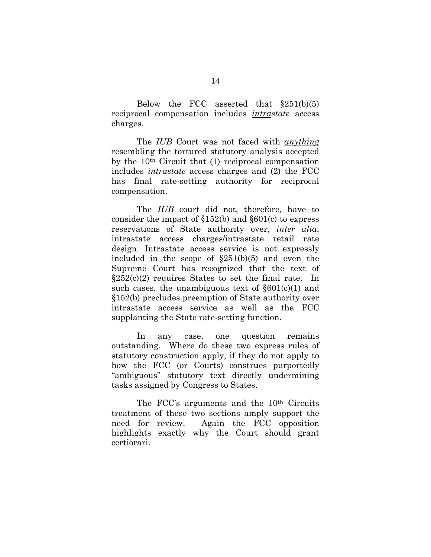Below the FCC asserted that  $\S 251(b)(5)$ reciprocal compensation includes *intrastate* access charges.

 The *IUB* Court was not faced with *anything* resembling the tortured statutory analysis accepted by the 10th Circuit that (1) reciprocal compensation includes *intrastate* access charges and (2) the FCC has final rate-setting authority for reciprocal compensation.

 The *IUB* court did not, therefore, have to consider the impact of §152(b) and §601(c) to express reservations of State authority over, *inter alia*, intrastate access charges/intrastate retail rate design. Intrastate access service is not expressly included in the scope of §251(b)(5) and even the Supreme Court has recognized that the text of  $§252(c)(2)$  requires States to set the final rate. In such cases, the unambiguous text of  $\S601(c)(1)$  and §152(b) precludes preemption of State authority over intrastate access service as well as the FCC supplanting the State rate-setting function.

In any case, one question remains outstanding. Where do these two express rules of statutory construction apply, if they do not apply to how the FCC (or Courts) construes purportedly "ambiguous" statutory text directly undermining tasks assigned by Congress to States.

The FCC's arguments and the 10<sup>th</sup> Circuits treatment of these two sections amply support the need for review. Again the FCC opposition highlights exactly why the Court should grant certiorari.